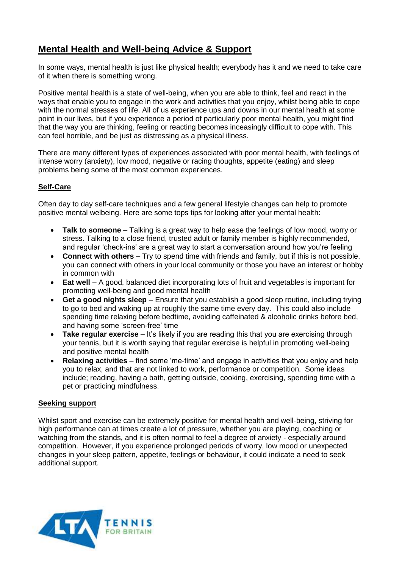## **Mental Health and Well-being Advice & Support**

In some ways, mental health is just like physical health; everybody has it and we need to take care of it when there is something wrong.

Positive mental health is a state of well-being, when you are able to think, feel and react in the ways that enable you to engage in the work and activities that you enjoy, whilst being able to cope with the normal stresses of life. All of us experience ups and downs in our mental health at some point in our lives, but if you experience a period of particularly poor mental health, you might find that the way you are thinking, feeling or reacting becomes inceasingly difficult to cope with. This can feel horrible, and be just as distressing as a physical illness.

There are many different types of experiences associated with poor mental health, with feelings of intense worry (anxiety), low mood, negative or racing thoughts, appetite (eating) and sleep problems being some of the most common experiences.

## **Self-Care**

Often day to day self-care techniques and a few general lifestyle changes can help to promote positive mental welbeing. Here are some tops tips for looking after your mental health:

- **Talk to someone** Talking is a great way to help ease the feelings of low mood, worry or stress. Talking to a close friend, trusted adult or family member is highly recommended, and regular 'check-ins' are a great way to start a conversation around how you're feeling
- **Connect with others** Try to spend time with friends and family, but if this is not possible, you can connect with others in your local community or those you have an interest or hobby in common with
- **Eat well** A good, balanced diet incorporating lots of fruit and vegetables is important for promoting well-being and good mental health
- **Get a good nights sleep** Ensure that you establish a good sleep routine, including trying to go to bed and waking up at roughly the same time every day. This could also include spending time relaxing before bedtime, avoiding caffeinated & alcoholic drinks before bed, and having some 'screen-free' time
- **Take regular exercise** It's likely if you are reading this that you are exercising through your tennis, but it is worth saying that regular exercise is helpful in promoting well-being and positive mental health
- **Relaxing activities** find some 'me-time' and engage in activities that you enjoy and help you to relax, and that are not linked to work, performance or competition. Some ideas include; reading, having a bath, getting outside, cooking, exercising, spending time with a pet or practicing mindfulness.

## **Seeking support**

Whilst sport and exercise can be extremely positive for mental health and well-being, striving for high performance can at times create a lot of pressure, whether you are playing, coaching or watching from the stands, and it is often normal to feel a degree of anxiety - especially around competition. However, if you experience prolonged periods of worry, low mood or unexpected changes in your sleep pattern, appetite, feelings or behaviour, it could indicate a need to seek additional support.